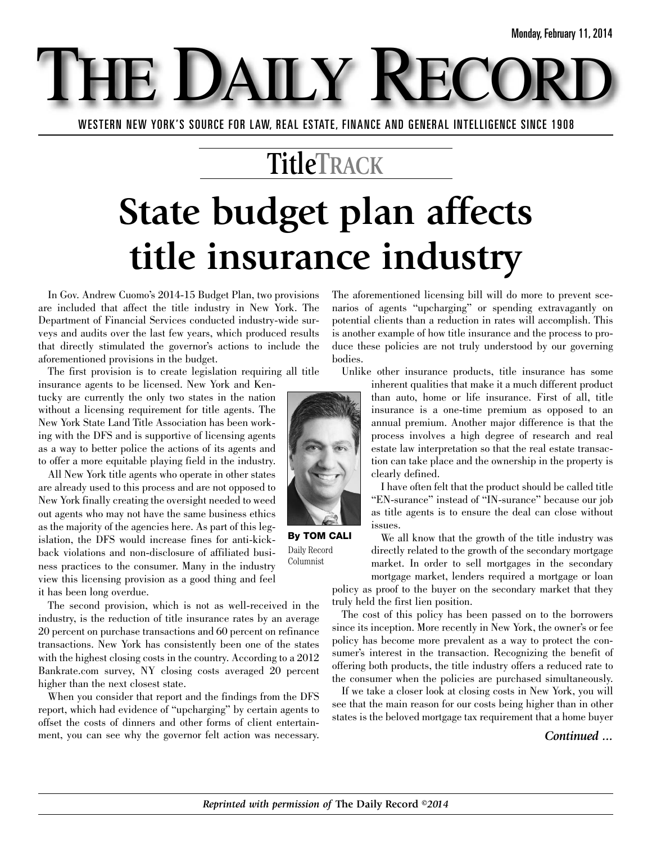WESTERN NEW YORK'S SOURCE FOR LAW, REAL ESTATE, FINANCE AND GENERAL INTELLIGENCE SINCE 1908

E DAILY

### **TitleTRACK**

# **State budget plan affects title insurance industry**

In Gov. Andrew Cuomo's 2014-15 Budget Plan, two provisions are included that affect the title industry in New York. The Department of Financial Services conducted industry-wide surveys and audits over the last few years, which produced results that directly stimulated the governor's actions to include the aforementioned provisions in the budget.

The first provision is to create legislation requiring all title

insurance agents to be licensed. New York and Kentucky are currently the only two states in the nation without a licensing requirement for title agents. The New York State Land Title Association has been working with the DFS and is supportive of licensing agents as a way to better police the actions of its agents and to offer a more equitable playing field in the industry.

All New York title agents who operate in other states are already used to this process and are not opposed to New York finally creating the oversight needed to weed out agents who may not have the same business ethics as the majority of the agencies here. As part of this legislation, the DFS would increase fines for anti-kickback violations and non-disclosure of affiliated business practices to the consumer. Many in the industry view this licensing provision as a good thing and feel it has been long overdue.

The second provision, which is not as well-received in the industry, is the reduction of title insurance rates by an average 20 percent on purchase transactions and 60 percent on refinance transactions. New York has consistently been one of the states with the highest closing costs in the country. According to a 2012 Bankrate.com survey, NY closing costs averaged 20 percent higher than the next closest state.

When you consider that report and the findings from the DFS report, which had evidence of "upcharging" by certain agents to offset the costs of dinners and other forms of client entertainment, you can see why the governor felt action was necessary. The aforementioned licensing bill will do more to prevent scenarios of agents "upcharging" or spending extravagantly on potential clients than a reduction in rates will accomplish. This is another example of how title insurance and the process to produce these policies are not truly understood by our governing bodies.

Unlike other insurance products, title insurance has some



I have often felt that the product should be called title "EN-surance" instead of "IN-surance" because our job as title agents is to ensure the deal can close without issues.

We all know that the growth of the title industry was directly related to the growth of the secondary mortgage market. In order to sell mortgages in the secondary mortgage market, lenders required a mortgage or loan

policy as proof to the buyer on the secondary market that they truly held the first lien position.

The cost of this policy has been passed on to the borrowers since its inception. More recently in New York, the owner's or fee policy has become more prevalent as a way to protect the consumer's interest in the transaction. Recognizing the benefit of offering both products, the title industry offers a reduced rate to the consumer when the policies are purchased simultaneously.

If we take a closer look at closing costs in New York, you will see that the main reason for our costs being higher than in other states is the beloved mortgage tax requirement that a home buyer

#### *Continued ...*



**By TOM CALI** Daily Record Columnist